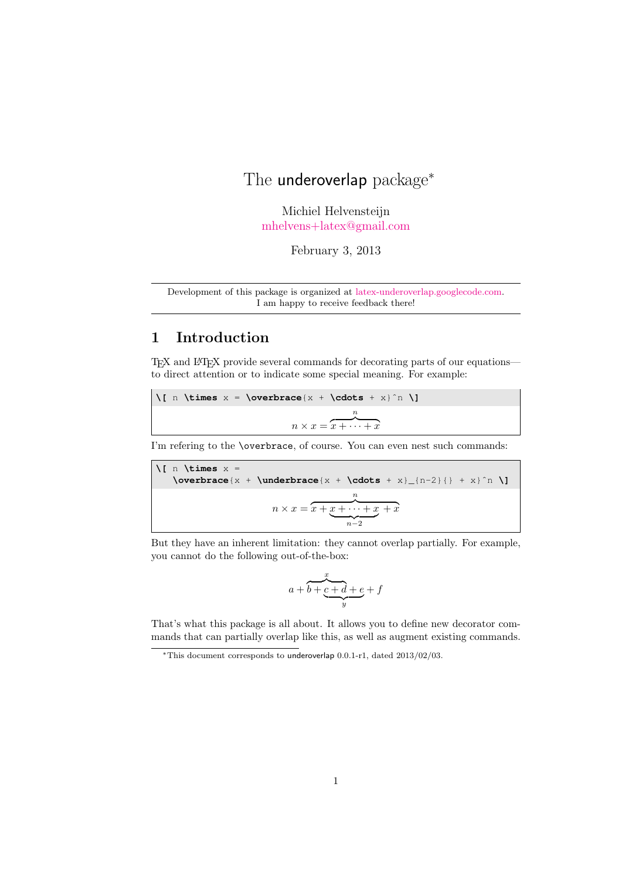# The underoverlap package<sup>\*</sup>

Michiel Helvensteijn [mhelvens+latex@gmail.com](mailto:mhelvens+latex@gmail.com)

February 3, 2013

Development of this package is organized at [latex-underoverlap.googlecode.com.](http://latex-underoverlap.googlecode.com) I am happy to receive feedback there!

# 1 Introduction

TEX and LATEX provide several commands for decorating parts of our equations to direct attention or to indicate some special meaning. For example:

| $\lceil \int_{n} \times x = \overbrace{x + \cdot} + x \rceil$ \[ n \times x = \overbrace {x + \cdots + x \ ^n \] |  |  |  |  |  |  |
|------------------------------------------------------------------------------------------------------------------|--|--|--|--|--|--|
|                                                                                                                  |  |  |  |  |  |  |
| $n \times x = x + \cdots + x$                                                                                    |  |  |  |  |  |  |

I'm refering to the \overbrace, of course. You can even nest such commands:

$$
\sqrt{[n \times x = \overline{x + \underline{y + x} - \underline{y + x} - x]}}
$$
\n
$$
n \times x = \overline{x + \underbrace{x + \cdots + x}_{n-2} + x} + x
$$

But they have an inherent limitation: they cannot overlap partially. For example, you cannot do the following out-of-the-box:

$$
a + b + \underbrace{c + d + e}_{y} + f
$$

That's what this package is all about. It allows you to define new decorator commands that can partially overlap like this, as well as augment existing commands.

<sup>∗</sup>This document corresponds to underoverlap 0.0.1-r1, dated 2013/02/03.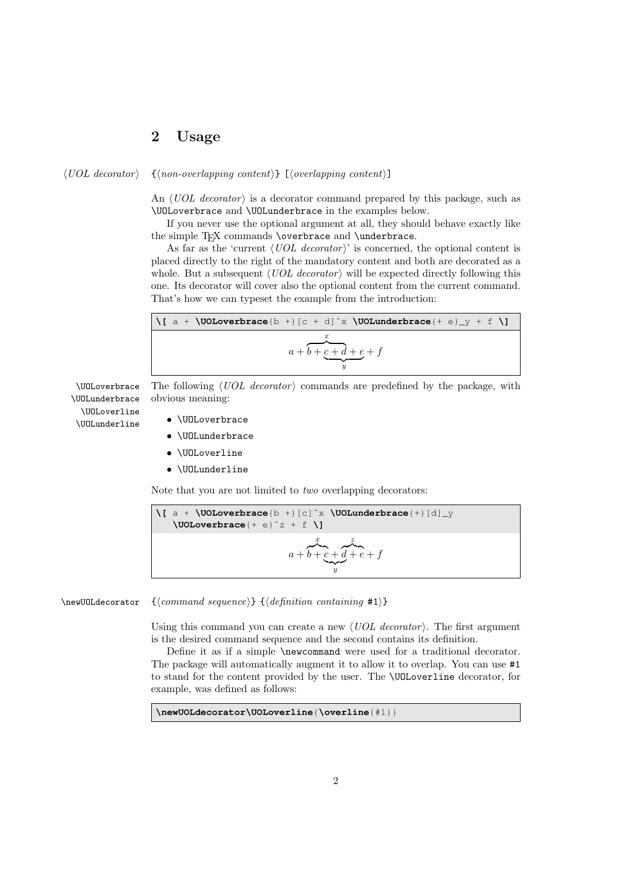## 2 Usage

 $\langle UOL$  decorator  $\{ \langle non-overlapping\ content \rangle \}$   $[\langle overlapping\ content \rangle]$ 

An  $\langle UOL$  decorator) is a decorator command prepared by this package, such as \UOLoverbrace and \UOLunderbrace in the examples below.

If you never use the optional argument at all, they should behave exactly like the simple T<sub>F</sub>X commands \overbrace and \underbrace.

As far as the 'current  $\langle UOL$  decorator' is concerned, the optional content is placed directly to the right of the mandatory content and both are decorated as a whole. But a subsequent  $\langle UOL$  decorator iii be expected directly following this one. Its decorator will cover also the optional content from the current command. That's how we can typeset the example from the introduction:

$$
\sqrt{[a + \text{VODLoverbrace}(b +)] [c + d]^x \text{VODLunderbrace{+ e}_y + f \text{V}}]}{a + b + \underbrace{c + d}_y + f}
$$

 $\Upsilon$ UOLoverbrace The following  $\langle UOL$  decorator is commands are predefined by the package, with obvious meaning:

\UOLunderbrace \UOLoverline \UOLunderline

- \UOLoverbrace • \UOLunderbrace
- \UOLoverline
- \UOLunderline

Note that you are not limited to *two* overlapping decorators:

$$
\begin{array}{c}\n\big\{\n\begin{array}{c}\n\text{a} + \text{V0Loverbraceace}\n\end{array} + \begin{array}{c}\n\text{b} + \begin{array}{c}\n\text{c}^x \text{V0Lunderbrace{+}\n\end{array} \left[\n\text{d}\right]_{y} \\
\text{V0Loverbraceace}\n\end{array}\n\big\} \\
\text{a} + \overbrace{b + c + d + e + f}^x\n\end{array}
$$

 $\newUOLdecoator \ {*command sequence*} {\langle definition containing #1} \}$ 

Using this command you can create a new  $\langle UOL$  decorator). The first argument is the desired command sequence and the second contains its definition.

Define it as if a simple \newcommand were used for a traditional decorator. The package will automatically augment it to allow it to overlap. You can use #1 to stand for the content provided by the user. The \UOLoverline decorator, for example, was defined as follows:

**\newUOLdecorator\UOLoverline**{**\overline**{#1}}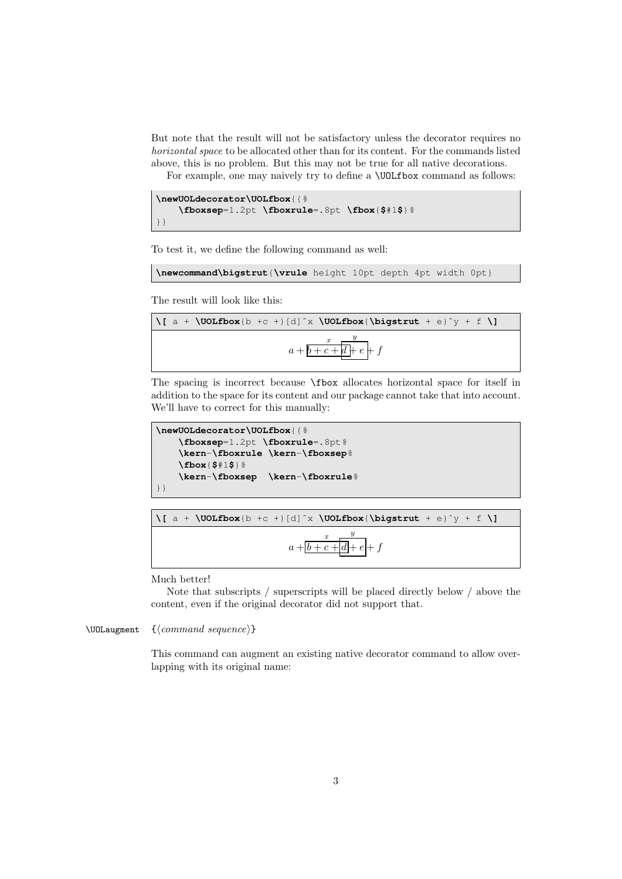But note that the result will not be satisfactory unless the decorator requires no horizontal space to be allocated other than for its content. For the commands listed above, this is no problem. But this may not be true for all native decorations.

For example, one may naively try to define a **\UOLfbox** command as follows:

```
\newUOLdecorator\UOLfbox{{%
    \fboxsep=1.2pt \fboxrule=.8pt \fbox{$#1$}%
}}
```
To test it, we define the following command as well:

```
\newcommand\bigstrut{\vrule height 10pt depth 4pt width 0pt}
```
The result will look like this:

$$
\sqrt{a + \text{Volfbox}(b + c + |d|^x \text{Volfbox}(\text{bigstrut} + e)^y + f \text{ }})}\n a + \frac{x}{b + c + d + e} + f
$$

The spacing is incorrect because \fbox allocates horizontal space for itself in addition to the space for its content and our package cannot take that into account. We'll have to correct for this manually:

```
\newUOLdecorator\UOLfbox{{%
   \fboxsep=1.2pt \fboxrule=.8pt%
   \kern-\fboxrule \kern-\fboxsep%
   \fbox{$#1$}%
   \kern-\fboxsep \kern-\fboxrule%
}}
```

$$
\frac{\sqrt{a + \text{Volfbox}(b + c + |d|^x \text{Volfbox}(\text{bigstruct} + e)^y + f \text{Vol}})}{a + \boxed{b + c + d} + f}
$$

Much better!

Note that subscripts / superscripts will be placed directly below / above the content, even if the original decorator did not support that.

\UOLaugment  $\{\\command{\text{s}equence}\}$ 

This command can augment an existing native decorator command to allow overlapping with its original name: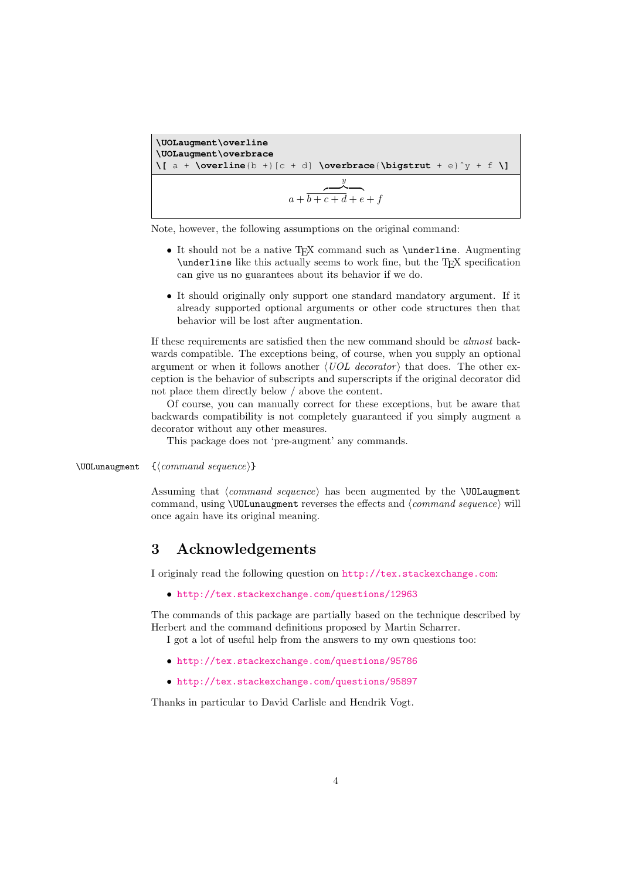**\UOLaugment\overline \UOLaugment\overbrace \[** a + **\overline**{b +}[c + d] **\overbrace**{**\bigstrut** + e}ˆy + f **\]**  $a + b +$  $\overline{y}$  $\overline{c+d+e+f}$ 

Note, however, the following assumptions on the original command:

- It should not be a native T<sub>E</sub>X command such as **\underline**. Augmenting \underline like this actually seems to work fine, but the TEX specification can give us no guarantees about its behavior if we do.
- It should originally only support one standard mandatory argument. If it already supported optional arguments or other code structures then that behavior will be lost after augmentation.

If these requirements are satisfied then the new command should be almost backwards compatible. The exceptions being, of course, when you supply an optional argument or when it follows another  $\langle UOL$  decorator) that does. The other exception is the behavior of subscripts and superscripts if the original decorator did not place them directly below / above the content.

Of course, you can manually correct for these exceptions, but be aware that backwards compatibility is not completely guaranteed if you simply augment a decorator without any other measures.

This package does not 'pre-augment' any commands.

 $\Upsilon$ UOLunaugment  $\{\\command{\eq}{eq:q}$ 

Assuming that  $\langle command\ sequence \rangle$  has been augmented by the **\UOLaugment** command, using  $\Upsilon$  UOLunaugment reverses the effects and  $\langle command\ sequence \rangle$  will once again have its original meaning.

### 3 Acknowledgements

I originaly read the following question on <http://tex.stackexchange.com>:

• <http://tex.stackexchange.com/questions/12963>

The commands of this package are partially based on the technique described by Herbert and the command definitions proposed by Martin Scharrer.

I got a lot of useful help from the answers to my own questions too:

- <http://tex.stackexchange.com/questions/95786>
- <http://tex.stackexchange.com/questions/95897>

Thanks in particular to David Carlisle and Hendrik Vogt.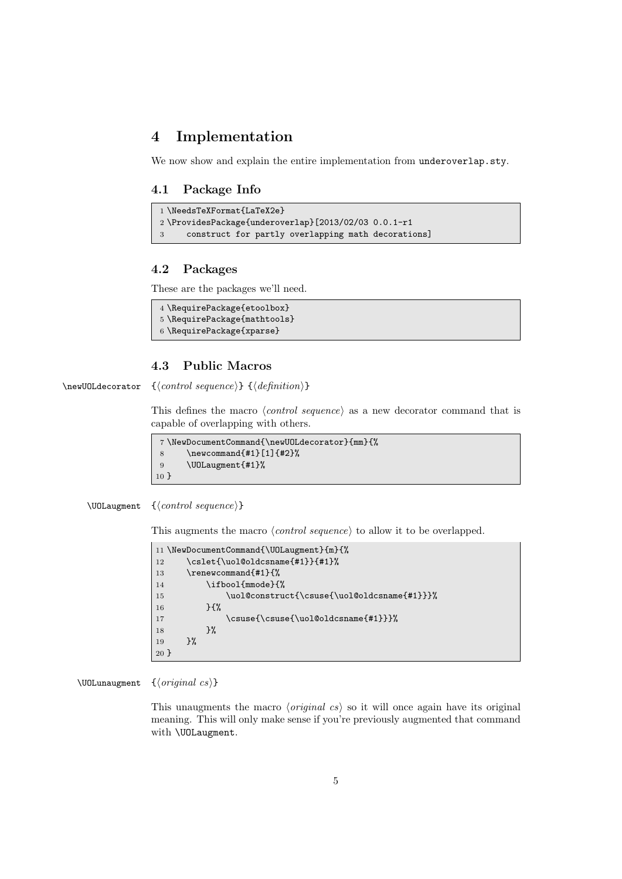### 4 Implementation

We now show and explain the entire implementation from underoverlap.sty.

#### 4.1 Package Info

```
1 \NeedsTeXFormat{LaTeX2e}
2 \ProvidesPackage{underoverlap}[2013/02/03 0.0.1-r1
3 construct for partly overlapping math decorations]
```
#### 4.2 Packages

These are the packages we'll need.

```
4 \RequirePackage{etoolbox}
5 \RequirePackage{mathtools}
6 \RequirePackage{xparse}
```
#### 4.3 Public Macros

 $\neq$ UOLdecorator  ${\langle control \ sequence \rangle} {\langle definition \rangle}$ 

This defines the macro  $\langle control \; sequence \rangle$  as a new decorator command that is capable of overlapping with others.

```
7 \NewDocumentCommand{\newUOLdecorator}{mm}{%
8 \newcommand{#1}[1]{#2}%
9 \UOLaugment{#1}%
10 }
```
 $\Upsilon$ <sub>\UOLaugment</sub> { $\{control\ sequence\}$ }

This augments the macro  $\langle control\ sequence \rangle$  to allow it to be overlapped.

```
11 \NewDocumentCommand{\UOLaugment}{m}{%
12 \cslet{\uol@oldcsname{#1}}{#1}%
13 \renewcommand{#1}{%
14 \ifbool{mmode}{%
15 \uol@construct{\csuse{\uol@oldcsname{#1}}}%
16 } {%
17 \csuse{\csuse{\uol@oldcsname{#1}}}%
18 }%
19 }%
20 }
```
\UOLunaugment  $\{}$ 

This unaugments the macro *(original cs)* so it will once again have its original meaning. This will only make sense if you're previously augmented that command with \UOLaugment.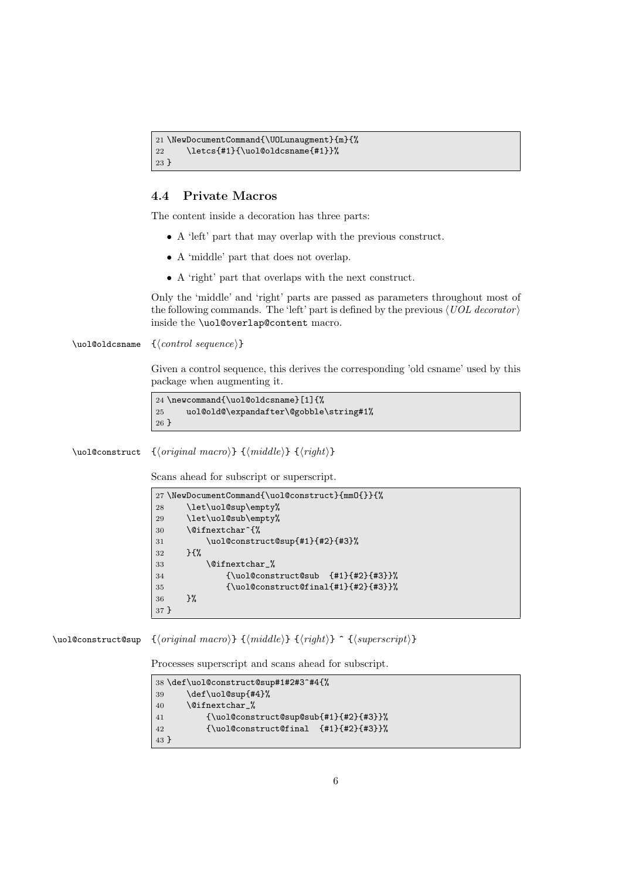```
21 \NewDocumentCommand{\UOLunaugment}{m}{%
22 \letcs{#1}{\uol@oldcsname{#1}}%
23 }
```
#### 4.4 Private Macros

The content inside a decoration has three parts:

- A 'left' part that may overlap with the previous construct.
- A 'middle' part that does not overlap.
- A 'right' part that overlaps with the next construct.

Only the 'middle' and 'right' parts are passed as parameters throughout most of the following commands. The 'left' part is defined by the previous  $\langle UOL \, decontor \rangle$ inside the \uol@overlap@content macro.

 $\uole$ oldcsname  $\{\langle control \ sequence \rangle\}$ 

Given a control sequence, this derives the corresponding 'old csname' used by this package when augmenting it.

```
24 \newcommand{\uol@oldcsname}[1]{%
25 uol@old@\expandafter\@gobble\string#1%
26 }
```
\uol@construct { $\{original\ macro\}$  { $\{middle\}$ } { $\{right\}$ }

Scans ahead for subscript or superscript.

```
27 \NewDocumentCommand{\uol@construct}{mmO{}}{%
28 \let\uol@sup\empty%
29 \let\uol@sub\empty%
30 \@ifnextchar^{%
31 \uol@construct@sup{#1}{#2}{#3}%
32 }{%
33 \@ifnextchar_%
34 {\uol@construct@sub {#1}{#2}{#3}}%
35 {\uol@construct@final{#1}{#2}{#3}}%
36 }%
37 }
```
\uol@construct@sup  ${\langle original\ macro}\} {\langle middle\rangle} {\langle right\rangle} ^{\{support\}}$ 

Processes superscript and scans ahead for subscript.

|         | 38 \def\uol@construct@sup#1#2#3^#4{% |
|---------|--------------------------------------|
| 39      | \def\uol@sup{#4}%                    |
| 40      | <b>\@ifnextchar %</b>                |
| 41      | $\{\uolimits\{\nu\}\$                |
| 42      | $\{\uolimits\{\nu\}.$ $\{ \mu\}.$    |
| $43 \}$ |                                      |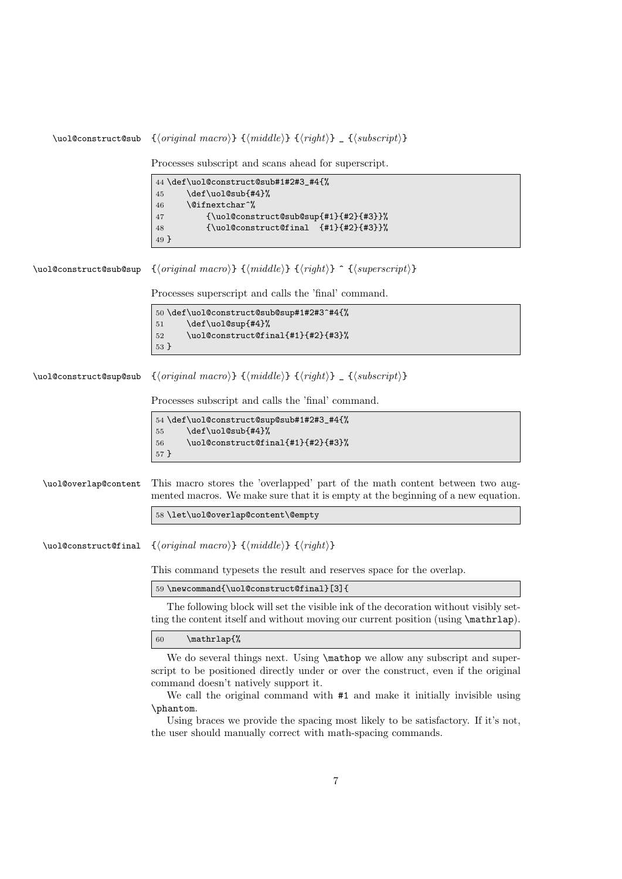```
\uol@construct@sub {\langle original\ macro}\} {\langle middle\rangle} {\langle right\rangle} _ {\langle (subset) }Processes subscript and scans ahead for superscript.
                           44 \def\uol@construct@sub#1#2#3_#4{%
                           45 \def\uol@sub{#4}%
                           46 \@ifnextchar^%
                           47 {\uol@construct@sub@sup{#1}{#2}{#3}}%
                           48 {\uol@construct@final {#1}{#2}{#3}}%
                           49 }
\uol@construct@sub@sup {\{original\ macro\} {\{middle\} {\{right\} ^ {\{superscript\}}
                          Processes superscript and calls the 'final' command.
                           50 \def\uol@construct@sub@sup#1#2#3^#4{%
                           51 \def\uol@sup{#4}%
                           52 \uol@construct@final{#1}{#2}{#3}%
                           53 }
\uol@construct@sup@sub {\langle original~macro \rangle} {\langle middle \rangle} {\langle right \rangle} _ {{\langle subset \rangle}}
                          Processes subscript and calls the 'final' command.
                           54 \def\uol@construct@sup@sub#1#2#3_#4{%
                           55 \def\uol@sub{#4}%
                           56 \uol@construct@final{#1}{#2}{#3}%
                           57 }
 \uol@overlap@content This macro stores the 'overlapped' part of the math content between two aug-
                          mented macros. We make sure that it is empty at the beginning of a new equation.
                           58 \let\uol@overlap@content\@empty
 \uol@construct@final {\original macro}} {\middle}} {\right\}
                          This command typesets the result and reserves space for the overlap.
                           59 \newcommand{\uol@construct@final}[3]{
                             The following block will set the visible ink of the decoration without visibly set-
                          ting the content itself and without moving our current position (using \mathcal{L}).
                           60 \mathrlap{%
                             We do several things next. Using \mathbb{R} we allow any subscript and super-
                          script to be positioned directly under or over the construct, even if the original
                          command doesn't natively support it.
                             We call the original command with #1 and make it initially invisible using
                          \phantom.
```
Using braces we provide the spacing most likely to be satisfactory. If it's not, the user should manually correct with math-spacing commands.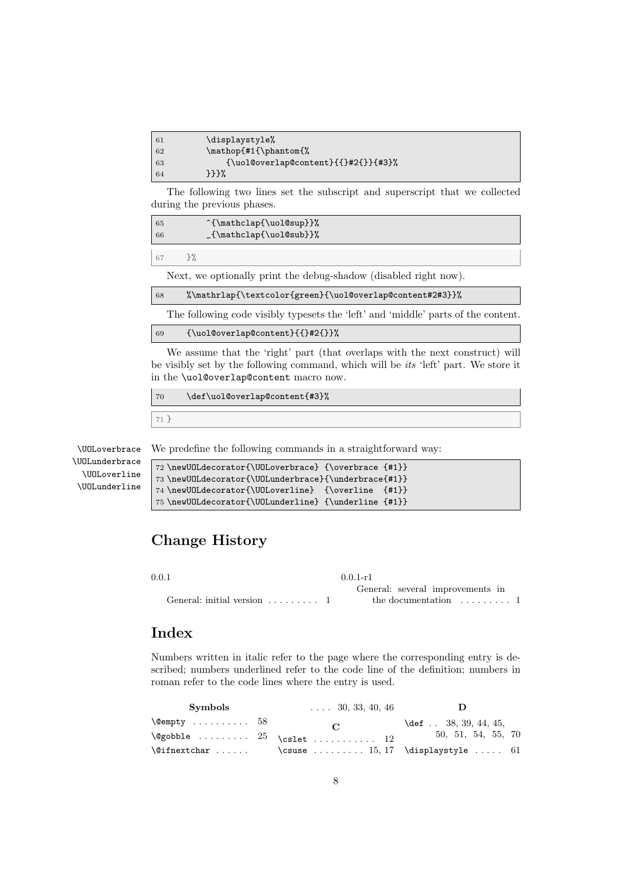| 61 | \displaystyle%                           |
|----|------------------------------------------|
| 62 | \mathop{#1{\phantom{%                    |
| 63 | $\{\uolowerlap@content\{\{}#2\}\{\#3\}\$ |
| 64 | 333%                                     |

The following two lines set the subscript and superscript that we collected during the previous phases.

| 65<br>66 | ^{\mathclap{\uol@sup}}%<br>_{\mathclap{\uol@sub}}% |
|----------|----------------------------------------------------|
|          |                                                    |
| 67       |                                                    |

Next, we optionally print the debug-shadow (disabled right now).

68 %\mathrlap{\textcolor{green}{\uol@overlap@content#2#3}}%

The following code visibly typesets the 'left' and 'middle' parts of the content.

```
69 {\uol@overlap@content}{{}#2{}}%
```
We assume that the 'right' part (that overlaps with the next construct) will be visibly set by the following command, which will be its 'left' part. We store it in the \uol@overlap@content macro now.

```
70 \def\uol@overlap@content{#3}%
```
71 }

\UOLoverbrace \UOLunderbrace \UOLoverline

\UOLunderline

We predefine the following commands in a straightforward way:

```
72 \newUOLdecorator{\UOLoverbrace} {\overbrace {#1}}
73 \newUOLdecorator{\UOLunderbrace}{\underbrace{#1}}
74 \newUOLdecorator{\UOLoverline} {\overline {#1}}
75 \newUOLdecorator{\UOLunderline} {\underline {#1}}
```
# Change History

0.0.1

General: initial version . . . . . . . . . 1 0.0.1-r1 General: several improvements in the documentation  $\dots \dots 1$ 

#### Index

Numbers written in italic refer to the page where the corresponding entry is described; numbers underlined refer to the code line of the definition; numbers in roman refer to the code lines where the entry is used.

| <b>Symbols</b> | $\ldots$ 30, 33, 40, 46                                                      |                          |
|----------------|------------------------------------------------------------------------------|--------------------------|
| \@empty  58    | $\mathbf C$                                                                  | $\det$ . 38, 39, 44, 45, |
|                | $\texttt{\@gobble} \dots \dots \dots \ 25 \ \texttt{\dots} \dots \dots \ 12$ | 50, 51, 54, 55, 70       |
|                | \@ifnextchar  \csuse  15,17 \displaystyle  61                                |                          |